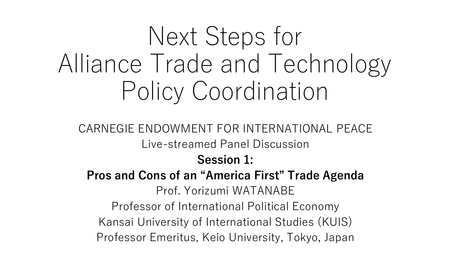# Next Steps for Alliance Trade and Technology Policy Coordination

CARNEGIE ENDOWMENT FOR INTERNATIONAL PEACE Live-streamed Panel Discussion **Session 1: Pros and Cons of an "America First" Trade Agenda** Prof. Yorizumi WATANABE Professor of International Political Economy Kansai University of International Studies (KUIS) Professor Emeritus, Keio University, Tokyo, Japan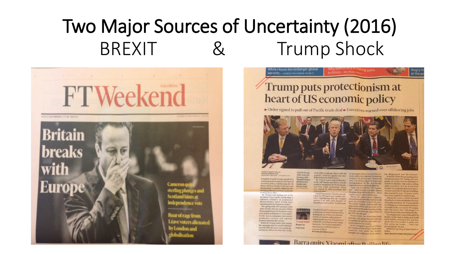#### Two Major Sources of Uncertainty (2016) BREXIT & Trump Shock



#### White House lies endanger global **Security - GIDEON RACHMAN, PAGE 9** at the po Trump puts protectionism at heart of US economic policy

• Order signed to pull out of Pacific trade deal • Executives warned over offshoring jobs



**SHAWN DONNAN AND<br>COURTNEY WEAVER - WASHINGTON** President Donald Trump signalled he would put protectionism at the heart of J&J head Alex economic policy, withdrawing the US from a historic Pacific trade pact and Michael Dell threatening to punish companies for

working day in offic Mr Trump said pulling out of the 12-nation Trans-Pacific Partnership, a signature initiative of predecessor Barack Obama's "pivot" to Asia, was a "great thing for the American worker". His signing of the TPP executive order came shortly after he warned a White House gathering of US business executives that he would place a "very major" border tax on companies that moved production overseas and exported products back into the country. products back into the country.<br>While Mr Trump made clear during<br>the campaign that he would withdraw Room to the campaign that he would withdraw from the TPP, the move was a potent signal that he will use his first days in the

Oval Office to plough ahead with the an opening for China to rewrite the eco-<br>populist, antitrade agenda that cata. nomination the member of the copopulist, antitrade agenda that cata-<br>populist, antitrade agenda that cata-<br>pulted him to the White House meeting since pulted him to the White House. Mr Trump is also expected to for-<br>Mr Trump is also expected to for-<br>mally tell Canada and Mexico that he disenvatorment in the Asia-Pacific marks on notice that he intended to<br>mally tell Canada and Mexico that he disenvato mally tell Canada and Mexico that he<br>mally tell Canada and Mexico that he<br>wants to renegotiate the North Ameri wants to renegotiate the North Ameri-<br>region at a time we can least afford it." can Free Trade Agreement, which was signed by then president Bill ries — which include some of the closest<br>Clinton in 1993.<br>Clinton in 1993. Clinton in 1993.

Republican senator John McCain crit-<br>state of the Pacific Rim — have<br>cised the TPP move as a "serious misicised the TPP move as a "serious mis-Shinzo Abe, Japan's prime minister, take", highlighting how Mr Trump's Shinzo Abe, Japan's prime minister,<br>take", highlighting how Mr Trump's told parliament yesterday that he would<br>agenda is at odds with decades of press the US leader to raion the would<br>Elo suce and a st odd s with decades of press the US leader to rejoin the would<br>Republican trade noiley. "It will create the US leader to rejoin the pact, Republican trade policy. "It will create "President Trump understands the

Barra quits Xiaomi after Deijing life



workers," Mr McCain said. "And it will the inauguration, Mr Trump put commatch his rhetoric with action, telling chief executives that he would look Japan and several other TPP signato-harshly on companies that moved pro-US allies along the Pacific Rim - have that wanted to open US plants would face fewer regulations and lower tax of Lockheed Martin, Mr Trump said he would impose a "substantial border tax" importance of free and fair trade, so 1'd on goods made overseas by US compa-<br>like to pursue his understanding on the like to pursue his understanding on the nies, but would offer "advantages" to strategic and economic importance of these who manufactured domestically,<br>the TPP," Mr Abexaid "A company that wants to fire all of its Steven Ciobo, the Australian trade people in the United States and build minister, said going forward with the some factory someplace else and then thinks that that product is gonna just

Angry I

flow across the border . . . that's not In his inaugural speech on Friday, gonna happen," he said. Mr Trump said the US had "made other Additional reporting by Jamie St countries rich while the wealth, Sydney

strength and confidence of our country Janan Gan

with, from left.

Wendell Weeks,

Corning chief

Gorsky and

improve

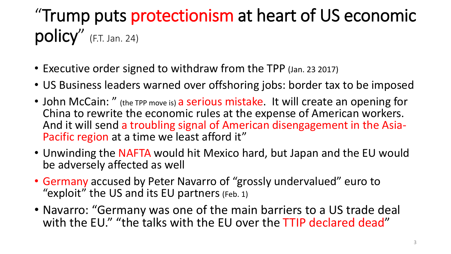#### "Trump puts protectionism at heart of US economic policy" (F.T. Jan. 24)

- Executive order signed to withdraw from the TPP (Jan. 23 2017)
- US Business leaders warned over offshoring jobs: border tax to be imposed
- John McCain: " (the TPP move is) a serious mistake. It will create an opening for China to rewrite the economic rules at the expense of American workers. And it will send a troubling signal of American disengagement in the Asia-Pacific region at a time we least afford it"
- Unwinding the NAFTA would hit Mexico hard, but Japan and the EU would be adversely affected as well
- Germany accused by Peter Navarro of "grossly undervalued" euro to "exploit" the US and its EU partners (Feb. 1)
- Navarro: "Germany was one of the main barriers to a US trade deal with the EU." "the talks with the EU over the TTIP declared dead"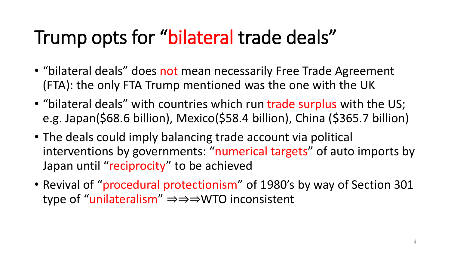## Trump opts for "bilateral trade deals"

- "bilateral deals" does not mean necessarily Free Trade Agreement (FTA): the only FTA Trump mentioned was the one with the UK
- "bilateral deals" with countries which run trade surplus with the US; e.g. Japan(\$68.6 billion), Mexico(\$58.4 billion), China (\$365.7 billion)
- The deals could imply balancing trade account via political interventions by governments: "numerical targets" of auto imports by Japan until "reciprocity" to be achieved
- Revival of "procedural protectionism" of 1980's by way of Section 301 type of "unilateralism" ⇒⇒⇒WTO inconsistent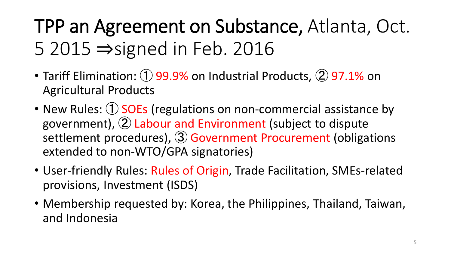## TPP an Agreement on Substance, Atlanta, Oct. 5 2015 ⇒signed in Feb. 2016

- Tariff Elimination: ① 99.9% on Industrial Products, ② 97.1% on Agricultural Products
- New Rules: 1 SOEs (regulations on non-commercial assistance by government), ② Labour and Environment (subject to dispute settlement procedures), 3 Government Procurement (obligations extended to non-WTO/GPA signatories)
- User-friendly Rules: Rules of Origin, Trade Facilitation, SMEs-related provisions, Investment (ISDS)
- Membership requested by: Korea, the Philippines, Thailand, Taiwan, and Indonesia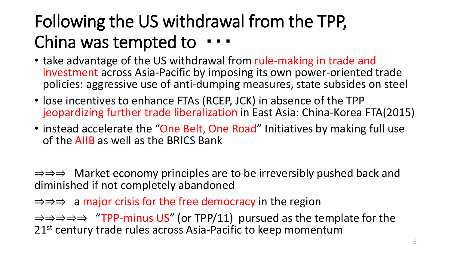#### Following the US withdrawal from the TPP, China was tempted to ・・・

- take advantage of the US withdrawal from rule-making in trade and investment across Asia-Pacific by imposing its own power-oriented trade policies: aggressive use of anti-dumping measures, state subsides on steel
- lose incentives to enhance FTAs (RCEP, JCK) in absence of the TPP jeopardizing further trade liberalization in East Asia: China-Korea FTA(2015)
- instead accelerate the "One Belt, One Road" Initiatives by making full use of the AIIB as well as the BRICS Bank

⇒⇒⇒ Market economy principles are to be irreversibly pushed back and diminished if not completely abandoned

⇒⇒⇒ a major crisis for the free democracy in the region

⇒⇒⇒⇒⇒ "TPP-minus US" (or TPP/11) pursued as the template for the 21<sup>st</sup> century trade rules across Asia-Pacific to keep momentum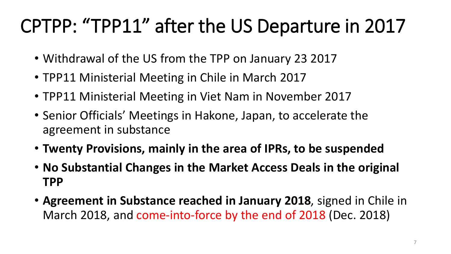## CPTPP: "TPP11" after the US Departure in 2017

- Withdrawal of the US from the TPP on January 23 2017
- TPP11 Ministerial Meeting in Chile in March 2017
- TPP11 Ministerial Meeting in Viet Nam in November 2017
- Senior Officials' Meetings in Hakone, Japan, to accelerate the agreement in substance
- **Twenty Provisions, mainly in the area of IPRs, to be suspended**
- **No Substantial Changes in the Market Access Deals in the original TPP**
- **Agreement in Substance reached in January 2018**, signed in Chile in March 2018, and come-into-force by the end of 2018 (Dec. 2018)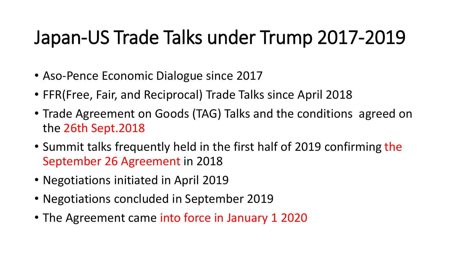#### Japan-US Trade Talks under Trump 2017-2019

- Aso-Pence Economic Dialogue since 2017
- FFR(Free, Fair, and Reciprocal) Trade Talks since April 2018
- Trade Agreement on Goods (TAG) Talks and the conditions agreed on the 26th Sept.2018
- Summit talks frequently held in the first half of 2019 confirming the September 26 Agreement in 2018
- Negotiations initiated in April 2019
- Negotiations concluded in September 2019
- The Agreement came into force in January 1 2020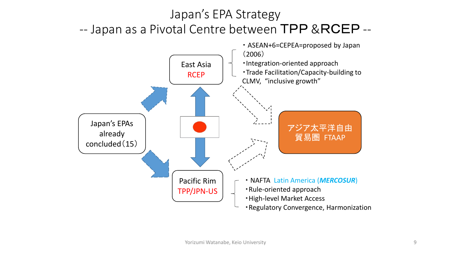#### Japan's EPA Strategy -- Japan as a Pivotal Centre between TPP & RCEP --

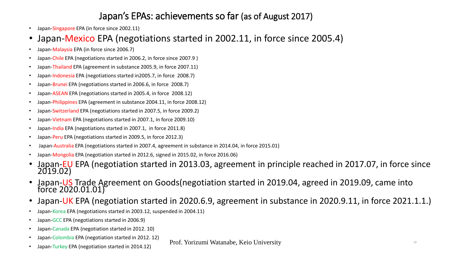#### Japan's EPAs: achievements so far (as of August 2017)

- Japan-Singapore EPA (in force since 2002.11)
- Japan-Mexico EPA (negotiations started in 2002.11, in force since 2005.4)
- Japan-Malaysia EPA (in force since 2006.7)
- Japan-Chile EPA (negotiations started in 2006.2, in force since 2007.9 )
- Japan-Thailand EPA (agreement in substance 2005.9, in force 2007.11)
- Japan-Indonesia EPA (negotiations started in2005.7, in force 2008.7)
- Japan-Brunei EPA (negotiations started in 2006.6, in force 2008.7)
- Japan-ASEAN EPA (negotiations started in 2005.4, in force 2008.12)
- Japan-Philippines EPA (agreement in substance 2004.11, in force 2008.12)
- Japan-Switzerland EPA (negotiations started in 2007.5, in force 2009.2)
- Japan-Vietnam EPA (negotiations started in 2007.1, in force 2009.10)
- Japan-India EPA (negotiations started in 2007.1, in force 2011.8)
- Japan-Peru EPA (negotiations started in 2009.5, in force 2012.3)
- Japan-Australia EPA (negotiations started in 2007.4, agreement in substance in 2014.04, in force 2015.01)
- Japan-Mongolia EPA (negotiation started in 2012.6, signed in 2015.02, in force 2016.06)
- Japan-EU EPA (negotiation started in 2013.03, agreement in principle reached in 2017.07, in force since 2019.02)
- Japan-US Trade Agreement on Goods(negotiation started in 2019.04, agreed in 2019.09, came into force 2020.01.01)
- Japan-UK EPA (negotiation started in 2020.6.9, agreement in substance in 2020.9.11, in force 2021.1.1.)
- Japan-Korea EPA (negotiations started in 2003.12, suspended in 2004.11)
- Japan-GCC EPA (negotiations started in 2006.9)
- Japan-Canada EPA (negotiation started in 2012. 10)
- Japan-Colombia EPA (negotiation started in 2012. 12)
- Japan-Turkey EPA (negotiation started in 2014.12)

Prof. Yorizumi Watanabe, Keio University 10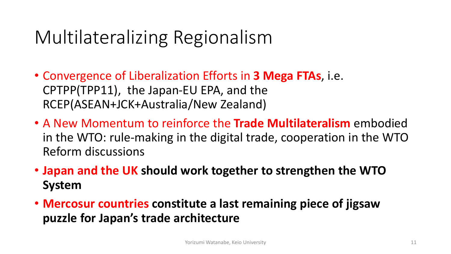#### Multilateralizing Regionalism

- Convergence of Liberalization Efforts in **3 Mega FTAs**, i.e. CPTPP(TPP11), the Japan-EU EPA, and the RCEP(ASEAN+JCK+Australia/New Zealand)
- A New Momentum to reinforce the **Trade Multilateralism** embodied in the WTO: rule-making in the digital trade, cooperation in the WTO Reform discussions
- **Japan and the UK should work together to strengthen the WTO System**
- **Mercosur countries constitute a last remaining piece of jigsaw puzzle for Japan's trade architecture**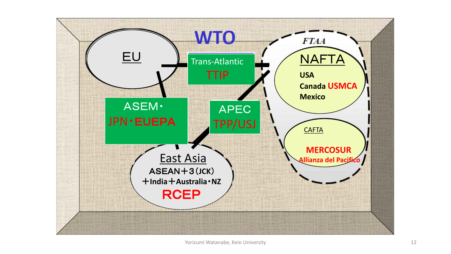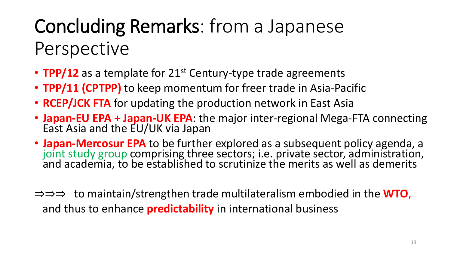## Concluding Remarks: from a Japanese Perspective

- **TPP/12** as a template for 21<sup>st</sup> Century-type trade agreements
- **TPP/11 (CPTPP)** to keep momentum for freer trade in Asia-Pacific
- **RCEP/JCK FTA** for updating the production network in East Asia
- **Japan-EU EPA + Japan-UK EPA**: the major inter-regional Mega-FTA connecting East Asia and the EU/UK via Japan
- **Japan-Mercosur EPA** to be further explored as a subsequent policy agenda, a joint study group comprising three sectors; i.e. private sector, administration, and academia, to be established to scrutinize the merits as well as demerits
- ⇒⇒⇒ to maintain/strengthen trade multilateralism embodied in the **WTO**, and thus to enhance **predictability** in international business